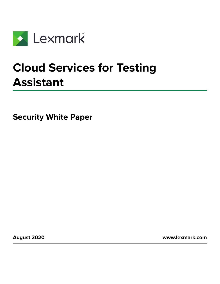

# **Cloud Services for Testing Assistant**

**Security White Paper**

**August 2020 [www.lexmark.com](http://www.lexmark.com)**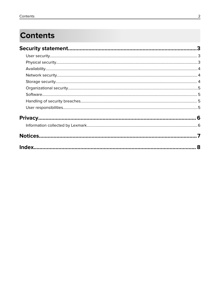## **Contents**

|  | 8 |
|--|---|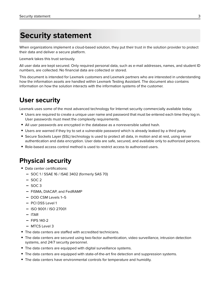## <span id="page-2-0"></span>**Security statement**

When organizations implement a cloud-based solution, they put their trust in the solution provider to protect their data and deliver a secure platform.

Lexmark takes this trust seriously.

All user data are kept secured. Only required personal data, such as e-mail addresses, names, and student ID numbers, are collected. No financial data are collected or stored.

This document is intended for Lexmark customers and Lexmark partners who are interested in understanding how the information assets are handled within Lexmark Testing Assistant. The document also contains information on how the solution interacts with the information systems of the customer.

## **User security**

Lexmark uses some of the most advanced technology for Internet security commercially available today.

- **•** Users are required to create a unique user name and password that must be entered each time they log in. User passwords must meet the complexity requirements.
- **•** All user passwords are encrypted in the database as a nonreversible salted hash.
- **•** Users are warned if they try to set a vulnerable password which is already leaked by a third party.
- **•** Secure Sockets Layer (SSL) technology is used to protect all data, in motion and at rest, using server authentication and data encryption. User data are safe, secured, and available only to authorized persons.
- **•** Role-based access control method is used to restrict access to authorized users.

## **Physical security**

- **•** Data center certifications:
	- **–** SOC 1 / SSAE 16 / ISAE 3402 (formerly SAS 70)
	- **–** SOC 2
	- **–** SOC 3
	- **–** FISMA, DIACAP, and FedRAMP
	- **–** DOD CSM Levels 1–5
	- **–** PCI DSS Level 1
	- **–** ISO 9001 / ISO 27001
	- **–** ITAR
	- **–** FIPS 140-2
	- **–** MTCS Level 3
- **•** The data centers are staffed with accredited technicians.
- **•** The data centers are secured using two-factor authentication, video surveillance, intrusion detection systems, and 24/7 security personnel.
- **•** The data centers are equipped with digital surveillance systems.
- **•** The data centers are equipped with state-of-the-art fire detection and suppression systems.
- **•** The data centers have environmental controls for temperature and humidity.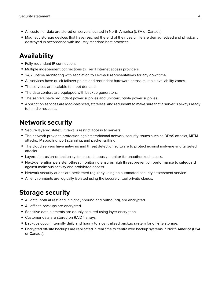- <span id="page-3-0"></span>**•** All customer data are stored on servers located in North America (USA or Canada).
- **•** Magnetic storage devices that have reached the end of their useful life are demagnetized and physically destroyed in accordance with industry-standard best practices.

## **Availability**

- **•** Fully redundant IP connections.
- **•** Multiple independent connections to Tier 1 Internet access providers.
- **•** 24/7 uptime monitoring with escalation to Lexmark representatives for any downtime.
- **•** All services have quick failover points and redundant hardware across multiple availability zones.
- **•** The services are scalable to meet demand.
- **•** The data centers are equipped with backup generators.
- **•** The servers have redundant power supplies and uninterruptible power supplies.
- **•** Application services are load-balanced, stateless, and redundant to make sure that a server is always ready to handle requests.

## **Network security**

- **•** Secure layered stateful firewalls restrict access to servers.
- **•** The network provides protection against traditional network security issues such as DDoS attacks, MITM attacks, IP spoofing, port scanning, and packet sniffing.
- **•** The cloud servers have antivirus and threat detection software to protect against malware and targeted attacks.
- **•** Layered intrusion-detection systems continuously monitor for unauthorized access.
- Next-generation persistent-threat monitoring ensures high threat prevention performance to safeguard against malicious activity and prohibited access.
- **•** Network security audits are performed regularly using an automated security assessment service.
- **•** All environments are logically isolated using the secure virtual private clouds.

### **Storage security**

- **•** All data, both at rest and in flight (inbound and outbound), are encrypted.
- **•** All off-site backups are encrypted.
- **•** Sensitive data elements are doubly secured using layer encryption.
- **•** Customer data are stored on RAID 1 arrays.
- **•** Backups occur internally daily and hourly to a centralized backup system for off-site storage.
- **•** Encrypted off-site backups are replicated in real time to centralized backup systems in North America (USA or Canada).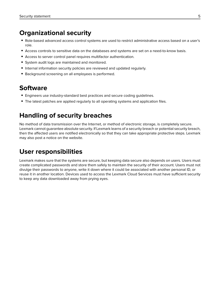### <span id="page-4-0"></span>**Organizational security**

- **•** Role-based advanced access control systems are used to restrict administrative access based on a user's role.
- **•** Access controls to sensitive data on the databases and systems are set on a need-to-know basis.
- **•** Access to server control panel requires multifactor authentication.
- **•** System audit logs are maintained and monitored.
- **•** Internal information security policies are reviewed and updated regularly.
- **•** Background screening on all employees is performed.

## **Software**

- **•** Engineers use industry-standard best practices and secure coding guidelines.
- **•** The latest patches are applied regularly to all operating systems and application files.

## **Handling of security breaches**

No method of data transmission over the Internet, or method of electronic storage, is completely secure. Lexmark cannot guarantee absolute security. If Lexmark learns of a security breach or potential security breach, then the affected users are notified electronically so that they can take appropriate protective steps. Lexmark may also post a notice on the website.

## **User responsibilities**

Lexmark makes sure that the systems are secure, but keeping data secure also depends on users. Users must create complicated passwords and store them safely to maintain the security of their account. Users must not divulge their passwords to anyone, write it down where it could be associated with another personal ID, or reuse it in another location. Devices used to access the Lexmark Cloud Services must have sufficient security to keep any data downloaded away from prying eyes.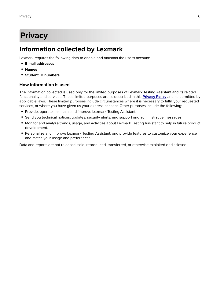## <span id="page-5-0"></span>**Privacy**

### **Information collected by Lexmark**

Lexmark requires the following data to enable and maintain the user's account:

- **• E-mail addresses**
- **• Names**
- **• Student ID numbers**

#### **How information is used**

The information collected is used only for the limited purposes of Lexmark Testing Assistant and its related functionality and services. These limited purposes are as described in this **[Privacy Policy](https://lexmark.remark.cloud/privacy-policy)** and as permitted by applicable laws. These limited purposes include circumstances where it is necessary to fulfill your requested services, or where you have given us your express consent. Other purposes include the following:

- **•** Provide, operate, maintain, and improve Lexmark Testing Assistant.
- **•** Send you technical notices, updates, security alerts, and support and administrative messages.
- **•** Monitor and analyze trends, usage, and activities about Lexmark Testing Assistant to help in future product development.
- **•** Personalize and improve Lexmark Testing Assistant, and provide features to customize your experience and match your usage and preferences.

Data and reports are not released, sold, reproduced, transferred, or otherwise exploited or disclosed.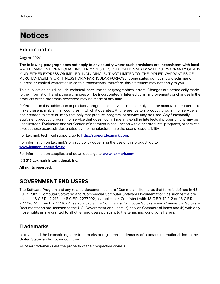## <span id="page-6-0"></span>**Notices**

### **Edition notice**

August 2020

**The following paragraph does not apply to any country where such provisions are inconsistent with local law:** LEXMARK INTERNATIONAL, INC., PROVIDES THIS PUBLICATION "AS IS" WITHOUT WARRANTY OF ANY KIND, EITHER EXPRESS OR IMPLIED, INCLUDING, BUT NOT LIMITED TO, THE IMPLIED WARRANTIES OF MERCHANTABILITY OR FITNESS FOR A PARTICULAR PURPOSE. Some states do not allow disclaimer of express or implied warranties in certain transactions; therefore, this statement may not apply to you.

This publication could include technical inaccuracies or typographical errors. Changes are periodically made to the information herein; these changes will be incorporated in later editions. Improvements or changes in the products or the programs described may be made at any time.

References in this publication to products, programs, or services do not imply that the manufacturer intends to make these available in all countries in which it operates. Any reference to a product, program, or service is not intended to state or imply that only that product, program, or service may be used. Any functionally equivalent product, program, or service that does not infringe any existing intellectual property right may be used instead. Evaluation and verification of operation in conjunction with other products, programs, or services, except those expressly designated by the manufacturer, are the user's responsibility.

For Lexmark technical support, go to **<http://support.lexmark.com>**.

For information on Lexmark's privacy policy governing the use of this product, go to **[www.lexmark.com/privacy](http://www.lexmark.com/privacy)**.

For information on supplies and downloads, go to **[www.lexmark.com](http://www.lexmark.com)**.

**© 2017 Lexmark International, Inc.**

**All rights reserved.**

### **GOVERNMENT END USERS**

The Software Program and any related documentation are "Commercial Items," as that term is defined in 48 C.F.R. 2.101, "Computer Software" and "Commercial Computer Software Documentation," as such terms are used in 48 C.F.R. 12.212 or 48 C.F.R. 227.7202, as applicable. Consistent with 48 C.F.R. 12.212 or 48 C.F.R. 227.7202-1 through 227.7207-4, as applicable, the Commercial Computer Software and Commercial Software Documentation are licensed to the U.S. Government end users (a) only as Commercial Items and (b) with only those rights as are granted to all other end users pursuant to the terms and conditions herein.

### **Trademarks**

Lexmark and the Lexmark logo are trademarks or registered trademarks of Lexmark International, Inc. in the United States and/or other countries.

All other trademarks are the property of their respective owners.